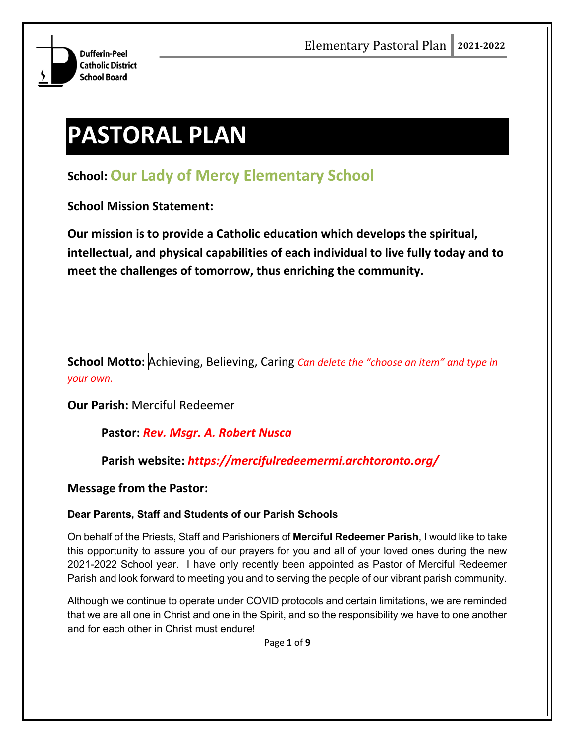

# **PASTORAL PLAN**

# **School: Our Lady of Mercy Elementary School**

**School Mission Statement:**

**Our mission is to provide a Catholic education which develops the spiritual, intellectual, and physical capabilities of each individual to live fully today and to meet the challenges of tomorrow, thus enriching the community.**

**School Motto:** Achieving, Believing, Caring *Can delete the "choose an item" and type in your own.*

**Our Parish:** Merciful Redeemer

### **Pastor:** *Rev. Msgr. A. Robert Nusca*

**Parish website:** *https://mercifulredeemermi.archtoronto.org/*

**Message from the Pastor:**

#### **Dear Parents, Staff and Students of our Parish Schools**

On behalf of the Priests, Staff and Parishioners of **Merciful Redeemer Parish**, I would like to take this opportunity to assure you of our prayers for you and all of your loved ones during the new 2021-2022 School year. I have only recently been appointed as Pastor of Merciful Redeemer Parish and look forward to meeting you and to serving the people of our vibrant parish community.

Although we continue to operate under COVID protocols and certain limitations, we are reminded that we are all one in Christ and one in the Spirit, and so the responsibility we have to one another and for each other in Christ must endure!

Page **1** of **9**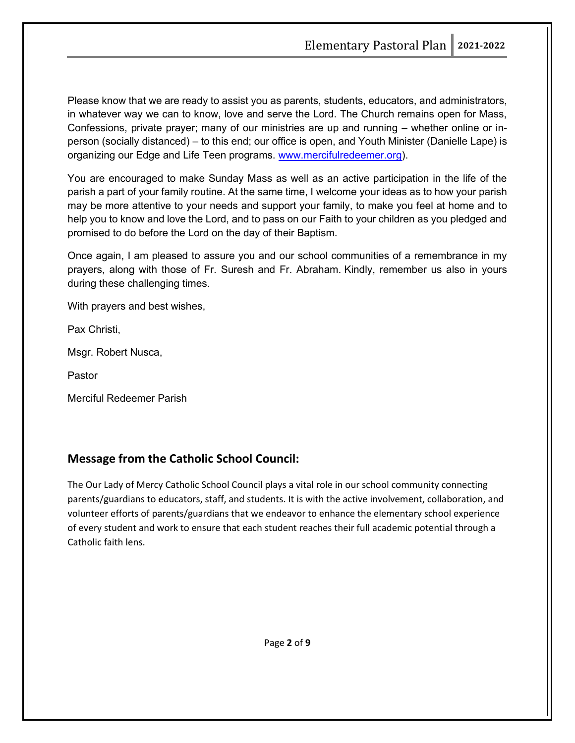Please know that we are ready to assist you as parents, students, educators, and administrators, in whatever way we can to know, love and serve the Lord. The Church remains open for Mass, Confessions, private prayer; many of our ministries are up and running – whether online or inperson (socially distanced) – to this end; our office is open, and Youth Minister (Danielle Lape) is organizing our Edge and Life Teen programs. [www.mercifulredeemer.org\)](http://www.mercifulredeemer.org/).

You are encouraged to make Sunday Mass as well as an active participation in the life of the parish a part of your family routine. At the same time, I welcome your ideas as to how your parish may be more attentive to your needs and support your family, to make you feel at home and to help you to know and love the Lord, and to pass on our Faith to your children as you pledged and promised to do before the Lord on the day of their Baptism.

Once again, I am pleased to assure you and our school communities of a remembrance in my prayers, along with those of Fr. Suresh and Fr. Abraham. Kindly, remember us also in yours during these challenging times.

With prayers and best wishes,

Pax Christi,

Msgr. Robert Nusca,

Pastor

Merciful Redeemer Parish

#### **Message from the Catholic School Council:**

The Our Lady of Mercy Catholic School Council plays a vital role in our school community connecting parents/guardians to educators, staff, and students. It is with the active involvement, collaboration, and volunteer efforts of parents/guardians that we endeavor to enhance the elementary school experience of every student and work to ensure that each student reaches their full academic potential through a Catholic faith lens.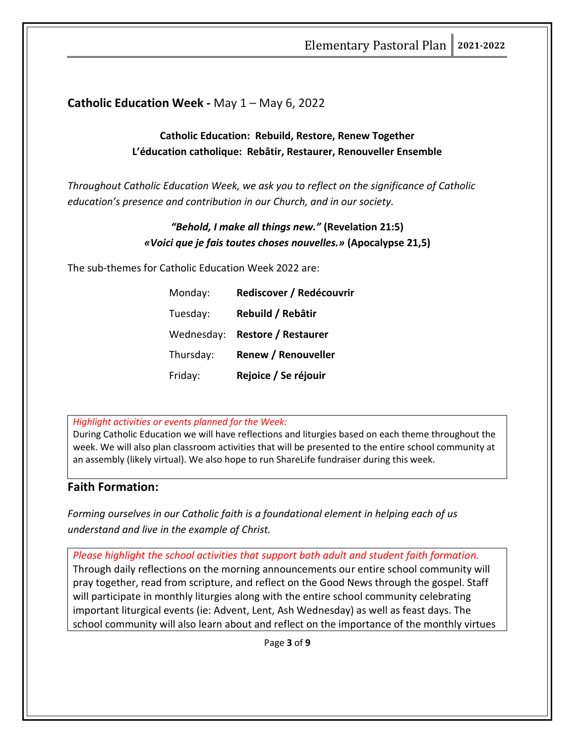#### **Catholic Education Week -** May 1 – May 6, 2022

#### **Catholic Education: Rebuild, Restore, Renew Together L'éducation catholique: Rebâtir, Restaurer, Renouveller Ensemble**

*Throughout Catholic Education Week, we ask you to reflect on the significance of Catholic education's presence and contribution in our Church, and in our society.*

#### *"Behold, I make all things new."* **(Revelation 21:5)** *«Voici que je fais toutes choses nouvelles.»* **(Apocalypse 21,5)**

The sub-themes for Catholic Education Week 2022 are:

| Monday:    | Rediscover / Redécouvrir   |
|------------|----------------------------|
| Tuesday:   | Rebuild / Rebâtir          |
| Wednesday: | <b>Restore / Restaurer</b> |
| Thursday:  | <b>Renew / Renouveller</b> |
| Friday:    | Rejoice / Se réjouir       |

*Highlight activities or events planned for the Week:*

During Catholic Education we will have reflections and liturgies based on each theme throughout the week. We will also plan classroom activities that will be presented to the entire school community at an assembly (likely virtual). We also hope to run ShareLife fundraiser during this week.

#### **Faith Formation:**

*Forming ourselves in our Catholic faith is a foundational element in helping each of us understand and live in the example of Christ.*

*Please highlight the school activities that support both adult and student faith formation.* Through daily reflections on the morning announcements our entire school community will pray together, read from scripture, and reflect on the Good News through the gospel. Staff will participate in monthly liturgies along with the entire school community celebrating important liturgical events (ie: Advent, Lent, Ash Wednesday) as well as feast days. The school community will also learn about and reflect on the importance of the monthly virtues

Page **3** of **9**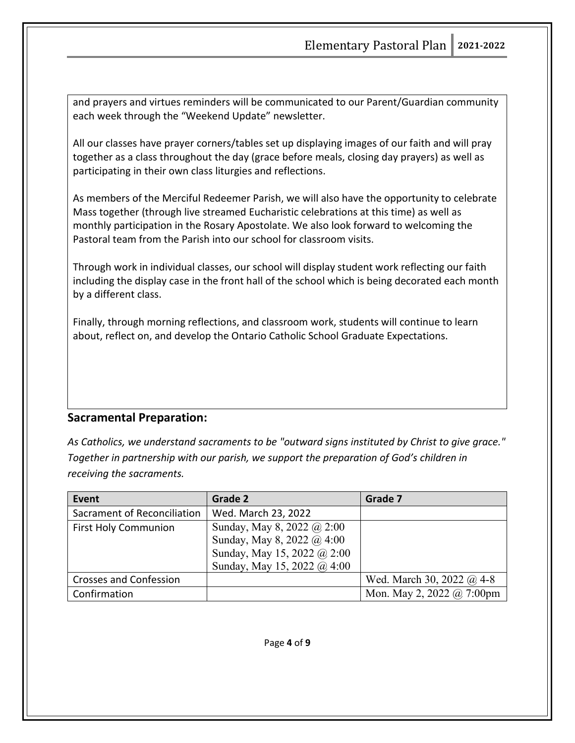and prayers and virtues reminders will be communicated to our Parent/Guardian community each week through the "Weekend Update" newsletter.

All our classes have prayer corners/tables set up displaying images of our faith and will pray together as a class throughout the day (grace before meals, closing day prayers) as well as participating in their own class liturgies and reflections.

As members of the Merciful Redeemer Parish, we will also have the opportunity to celebrate Mass together (through live streamed Eucharistic celebrations at this time) as well as monthly participation in the Rosary Apostolate. We also look forward to welcoming the Pastoral team from the Parish into our school for classroom visits.

Through work in individual classes, our school will display student work reflecting our faith including the display case in the front hall of the school which is being decorated each month by a different class.

Finally, through morning reflections, and classroom work, students will continue to learn about, reflect on, and develop the Ontario Catholic School Graduate Expectations.

#### **Sacramental Preparation:**

*As Catholics, we understand sacraments to be "outward signs instituted by Christ to give grace." Together in partnership with our parish, we support the preparation of God's children in receiving the sacraments.*

| Event                         | Grade 2                     | Grade 7                          |
|-------------------------------|-----------------------------|----------------------------------|
| Sacrament of Reconciliation   | Wed. March 23, 2022         |                                  |
| <b>First Holy Communion</b>   | Sunday, May 8, 2022 @ 2:00  |                                  |
|                               | Sunday, May 8, 2022 @ 4:00  |                                  |
|                               | Sunday, May 15, 2022 @ 2:00 |                                  |
|                               | Sunday, May 15, 2022 @ 4:00 |                                  |
| <b>Crosses and Confession</b> |                             | Wed. March 30, 2022 $\omega$ 4-8 |
| Confirmation                  |                             | Mon. May 2, 2022 @ 7:00pm        |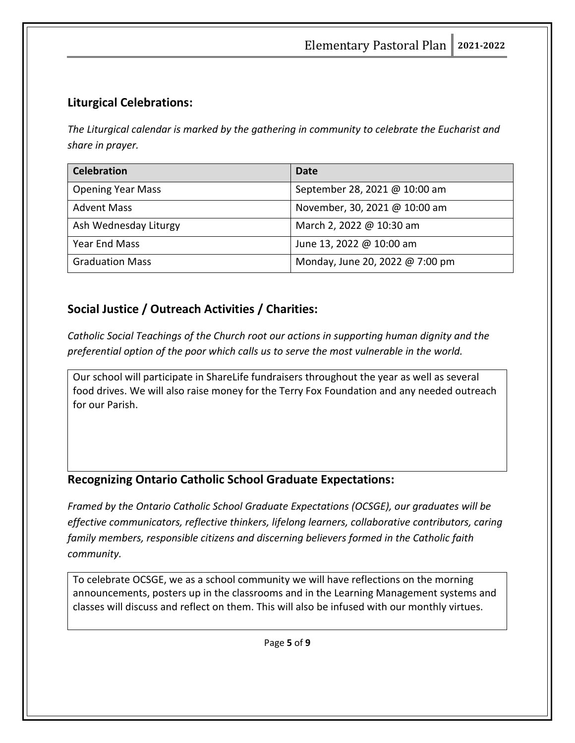# **Liturgical Celebrations:**

*The Liturgical calendar is marked by the gathering in community to celebrate the Eucharist and share in prayer.* 

| <b>Celebration</b>       | Date                            |
|--------------------------|---------------------------------|
| <b>Opening Year Mass</b> | September 28, 2021 @ 10:00 am   |
| <b>Advent Mass</b>       | November, 30, 2021 @ 10:00 am   |
| Ash Wednesday Liturgy    | March 2, 2022 @ 10:30 am        |
| Year End Mass            | June 13, 2022 @ 10:00 am        |
| <b>Graduation Mass</b>   | Monday, June 20, 2022 @ 7:00 pm |

# **Social Justice / Outreach Activities / Charities:**

*Catholic Social Teachings of the Church root our actions in supporting human dignity and the preferential option of the poor which calls us to serve the most vulnerable in the world.*

Our school will participate in ShareLife fundraisers throughout the year as well as several food drives. We will also raise money for the Terry Fox Foundation and any needed outreach for our Parish.

# **Recognizing Ontario Catholic School Graduate Expectations:**

*Framed by the Ontario Catholic School Graduate Expectations (OCSGE), our graduates will be effective communicators, reflective thinkers, lifelong learners, collaborative contributors, caring family members, responsible citizens and discerning believers formed in the Catholic faith community.*

To celebrate OCSGE, we as a school community we will have reflections on the morning announcements, posters up in the classrooms and in the Learning Management systems and classes will discuss and reflect on them. This will also be infused with our monthly virtues.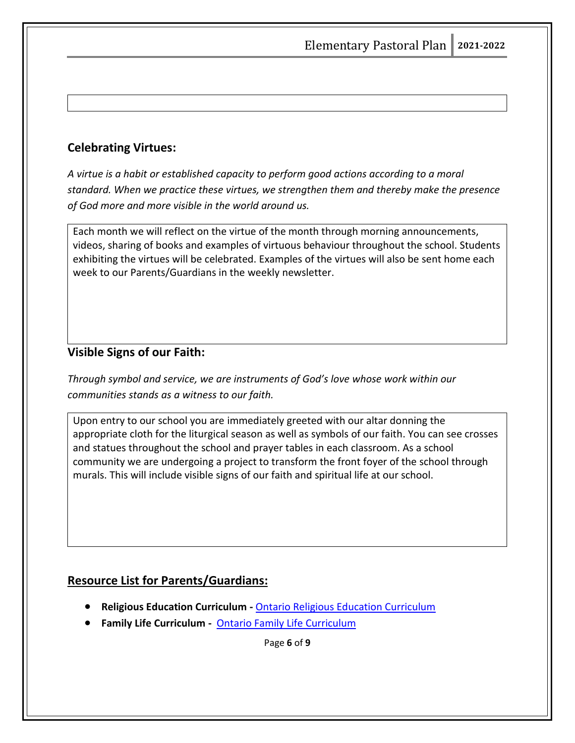# **Celebrating Virtues:**

*A virtue is a habit or established capacity to perform good actions according to a moral standard. When we practice these virtues, we strengthen them and thereby make the presence of God more and more visible in the world around us.* 

Each month we will reflect on the virtue of the month through morning announcements, videos, sharing of books and examples of virtuous behaviour throughout the school. Students exhibiting the virtues will be celebrated. Examples of the virtues will also be sent home each week to our Parents/Guardians in the weekly newsletter.

### **Visible Signs of our Faith:**

*Through symbol and service, we are instruments of God's love whose work within our communities stands as a witness to our faith.* 

Upon entry to our school you are immediately greeted with our altar donning the appropriate cloth for the liturgical season as well as symbols of our faith. You can see crosses and statues throughout the school and prayer tables in each classroom. As a school community we are undergoing a project to transform the front foyer of the school through murals. This will include visible signs of our faith and spiritual life at our school.

### **Resource List for Parents/Guardians:**

- **Religious Education Curriculum -** [Ontario Religious Education Curriculum](https://iceont.ca/curriculum/)
- **Family Life Curriculum** [Ontario Family Life Curriculum](https://iceont.ca/curriculum/)

Page **6** of **9**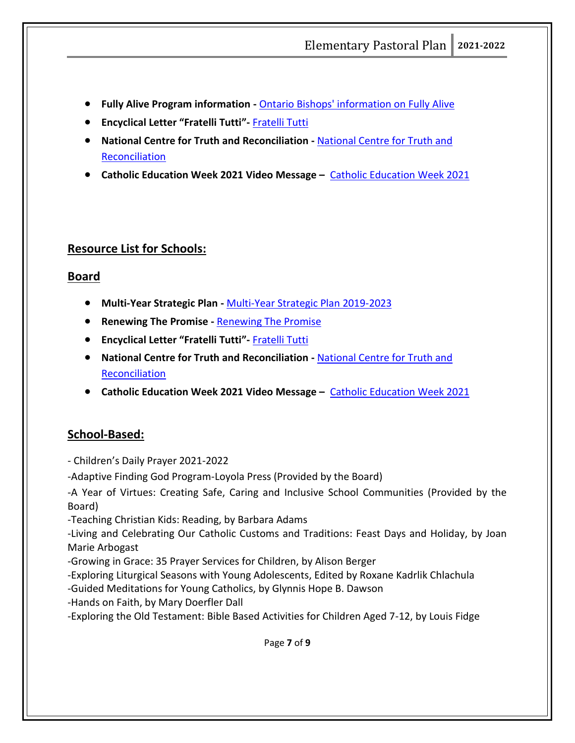- **Fully Alive Program information -** [Ontario Bishops' information on Fully Alive](http://acbo.on.ca/educational-resources/)
- **Encyclical Letter "Fratelli Tutti"-** [Fratelli Tutti](https://www.vatican.va/content/francesco/en/encyclicals/documents/papa-francesco_20201003_enciclica-fratelli-tutti.html)
- **National Centre for Truth and Reconciliation -** [National Centre for Truth and](https://nctr.ca/)  [Reconciliation](https://nctr.ca/)
- **Catholic Education Week 2021 Video Message –** [Catholic Education Week 2021](https://www.youtube.com/watch?v=FU9eEExbkZw)

#### **Resource List for Schools:**

#### **Board**

- **Multi-Year Strategic Plan -** [Multi-Year Strategic Plan 2019-2023](https://www3.dpcdsb.org/Documents/2019-23%20MYSP%20Flyer%20FINAL.pdf)
- **Renewing The Promise -** [Renewing The Promise](https://iceont.ca/renewing-the-promise-2/)
- **Encyclical Letter "Fratelli Tutti"-** [Fratelli Tutti](https://www.vatican.va/content/francesco/en/encyclicals/documents/papa-francesco_20201003_enciclica-fratelli-tutti.html)
- **National Centre for Truth and Reconciliation -** [National Centre for Truth and](https://nctr.ca/)  [Reconciliation](https://nctr.ca/)
- **Catholic Education Week 2021 Video Message –** [Catholic Education Week 2021](https://www.youtube.com/watch?v=FU9eEExbkZw)

#### **School-Based:**

- Children's Daily Prayer 2021-2022

-Adaptive Finding God Program-Loyola Press (Provided by the Board)

-A Year of Virtues: Creating Safe, Caring and Inclusive School Communities (Provided by the Board)

-Teaching Christian Kids: Reading, by Barbara Adams

-Living and Celebrating Our Catholic Customs and Traditions: Feast Days and Holiday, by Joan Marie Arbogast

-Growing in Grace: 35 Prayer Services for Children, by Alison Berger

-Exploring Liturgical Seasons with Young Adolescents, Edited by Roxane Kadrlik Chlachula

-Guided Meditations for Young Catholics, by Glynnis Hope B. Dawson

-Hands on Faith, by Mary Doerfler Dall

-Exploring the Old Testament: Bible Based Activities for Children Aged 7-12, by Louis Fidge

Page **7** of **9**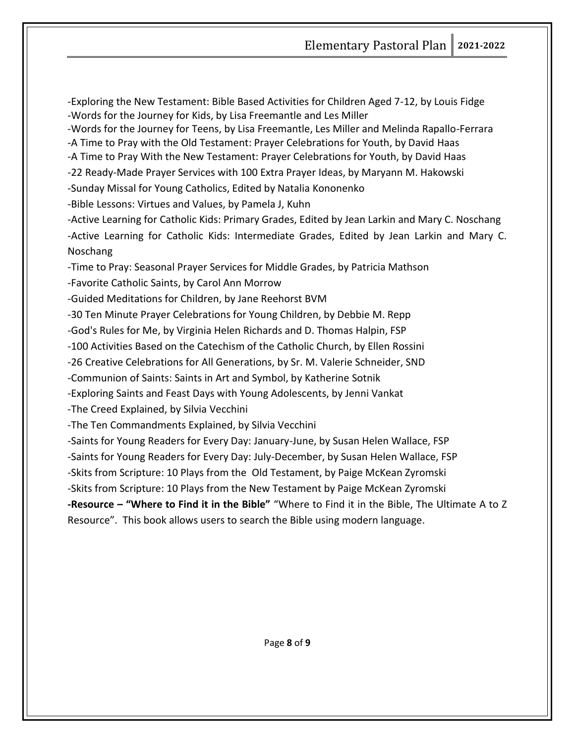Elementary Pastoral Plan **2021-2022**

-Exploring the New Testament: Bible Based Activities for Children Aged 7-12, by Louis Fidge -Words for the Journey for Kids, by Lisa Freemantle and Les Miller

-Words for the Journey for Teens, by Lisa Freemantle, Les Miller and Melinda Rapallo-Ferrara

-A Time to Pray with the Old Testament: Prayer Celebrations for Youth, by David Haas

-A Time to Pray With the New Testament: Prayer Celebrations for Youth, by David Haas

-22 Ready-Made Prayer Services with 100 Extra Prayer Ideas, by Maryann M. Hakowski

-Sunday Missal for Young Catholics, Edited by Natalia Kononenko

-Bible Lessons: Virtues and Values, by Pamela J, Kuhn

-Active Learning for Catholic Kids: Primary Grades, Edited by Jean Larkin and Mary C. Noschang -Active Learning for Catholic Kids: Intermediate Grades, Edited by Jean Larkin and Mary C. Noschang

-Time to Pray: Seasonal Prayer Services for Middle Grades, by Patricia Mathson

-Favorite Catholic Saints, by Carol Ann Morrow

-Guided Meditations for Children, by Jane Reehorst BVM

-30 Ten Minute Prayer Celebrations for Young Children, by Debbie M. Repp

-God's Rules for Me, by Virginia Helen Richards and D. Thomas Halpin, FSP

-100 Activities Based on the Catechism of the Catholic Church, by Ellen Rossini

-26 Creative Celebrations for All Generations, by Sr. M. Valerie Schneider, SND

-Communion of Saints: Saints in Art and Symbol, by Katherine Sotnik

-Exploring Saints and Feast Days with Young Adolescents, by Jenni Vankat

-The Creed Explained, by Silvia Vecchini

-The Ten Commandments Explained, by Silvia Vecchini

-Saints for Young Readers for Every Day: January-June, by Susan Helen Wallace, FSP

-Saints for Young Readers for Every Day: July-December, by Susan Helen Wallace, FSP

-Skits from Scripture: 10 Plays from the Old Testament, by Paige McKean Zyromski

-Skits from Scripture: 10 Plays from the New Testament by Paige McKean Zyromski

**-Resource – "Where to Find it in the Bible"** "Where to Find it in the Bible, The Ultimate A to Z Resource". This book allows users to search the Bible using modern language.